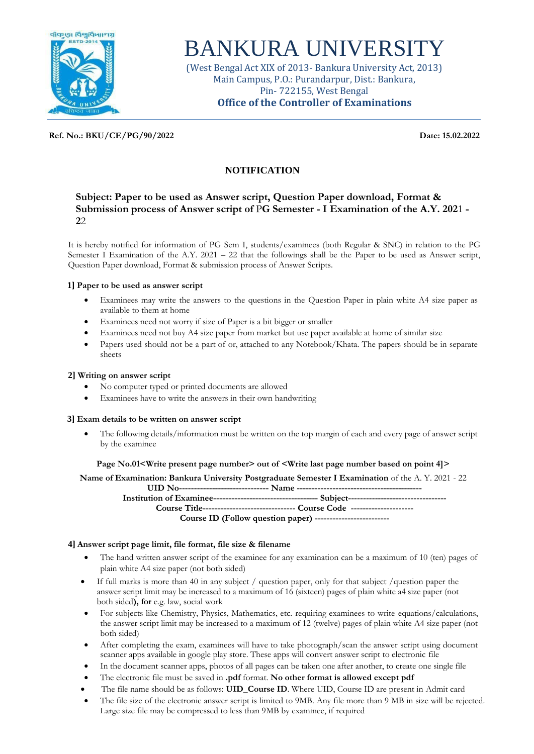

# BANKURA UNIVERSITY

(West Bengal Act XIX of 2013- Bankura University Act, 2013) Main Campus, P.O.: Purandarpur, Dist.: Bankura, Pin- 722155, West Bengal **Office of the Controller of Examinations**

**Ref. No.: BKU/CE/PG/90/2022 Date: 15.02.2022**

# **NOTIFICATION**

## **Subject: Paper to be used as Answer script, Question Paper download, Format & Submission process of Answer script of** P**G Semester - I Examination of the A.Y. 202**1 **- 2**2

It is hereby notified for information of PG Sem I, students/examinees (both Regular & SNC) in relation to the PG Semester I Examination of the A.Y. 2021 – 22 that the followings shall be the Paper to be used as Answer script, Question Paper download, Format & submission process of Answer Scripts.

## **1] Paper to be used as answer script**

- Examinees may write the answers to the questions in the Question Paper in plain white A4 size paper as available to them at home
- Examinees need not worry if size of Paper is a bit bigger or smaller
- Examinees need not buy A4 size paper from market but use paper available at home of similar size
- Papers used should not be a part of or, attached to any Notebook/Khata. The papers should be in separate sheets

#### **2] Writing on answer script**

- No computer typed or printed documents are allowed
- Examinees have to write the answers in their own handwriting

#### **3] Exam details to be written on answer script**

 The following details/information must be written on the top margin of each and every page of answer script by the examinee

#### **Page No.01<Write present page number> out of <Write last page number based on point 4]>**

**Name of Examination: Bankura University Postgraduate Semester I Examination** of the A. Y. 2021 - 22 **UID No------------------------------ Name ------------------------------------------**

**Institution of Examinee----------------------------------- Subject--------------------------------- Course Title------------------------------- Course Code ---------------------**

**Course ID (Follow question paper) -------------------------**

## **4] Answer script page limit, file format, file size & filename**

- The hand written answer script of the examinee for any examination can be a maximum of 10 (ten) pages of plain white A4 size paper (not both sided)
- $\bullet$  If full marks is more than 40 in any subject / question paper, only for that subject / question paper the answer script limit may be increased to a maximum of 16 (sixteen) pages of plain white a4 size paper (not both sided**), for** e.g. law, social work
- For subjects like Chemistry, Physics, Mathematics, etc. requiring examinees to write equations/calculations, the answer script limit may be increased to a maximum of 12 (twelve) pages of plain white A4 size paper (not both sided)
- After completing the exam, examinees will have to take photograph/scan the answer script using document scanner apps available in google play store. These apps will convert answer script to electronic file
- In the document scanner apps, photos of all pages can be taken one after another, to create one single file
- The electronic file must be saved in **.pdf** format. **No other format is allowed except pdf**
- The file name should be as follows: **UID\_Course ID**. Where UID, Course ID are present in Admit card
- The file size of the electronic answer script is limited to 9MB. Any file more than 9 MB in size will be rejected. Large size file may be compressed to less than 9MB by examinee, if required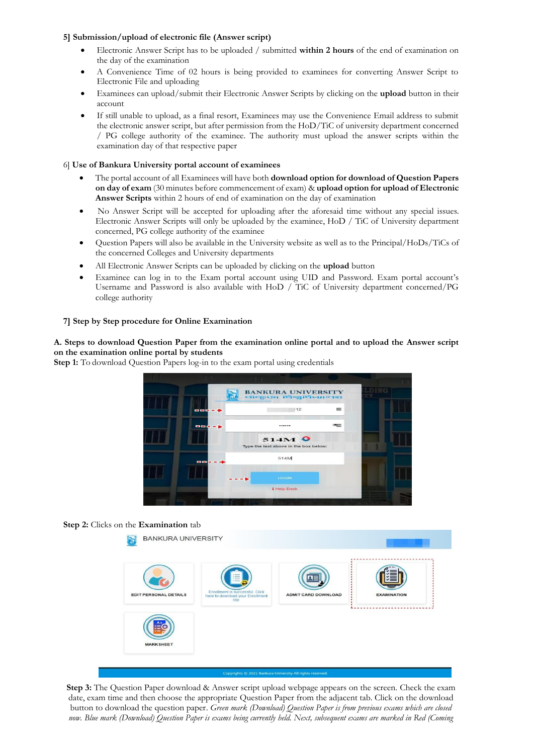#### **5] Submission/upload of electronic file (Answer script)**

- Electronic Answer Script has to be uploaded / submitted **within 2 hours** of the end of examination on the day of the examination
- A Convenience Time of 02 hours is being provided to examinees for converting Answer Script to Electronic File and uploading
- Examinees can upload/submit their Electronic Answer Scripts by clicking on the **upload** button in their account
- If still unable to upload, as a final resort, Examinees may use the Convenience Email address to submit the electronic answer script, but after permission from the HoD/TiC of university department concerned / PG college authority of the examinee. The authority must upload the answer scripts within the examination day of that respective paper

#### 6] **Use of Bankura University portal account of examinees**

- The portal account of all Examinees will have both **download option for download of Question Papers on day of exam** (30 minutes before commencement of exam) & **upload option for upload of Electronic Answer Scripts** within 2 hours of end of examination on the day of examination
- No Answer Script will be accepted for uploading after the aforesaid time without any special issues. Electronic Answer Scripts will only be uploaded by the examinee, HoD / TiC of University department concerned, PG college authority of the examinee
- Question Papers will also be available in the University website as well as to the Principal/HoDs/TiCs of the concerned Colleges and University departments
- All Electronic Answer Scripts can be uploaded by clicking on the **upload** button
- Examinee can log in to the Exam portal account using UID and Password. Exam portal account's Username and Password is also available with HoD / TiC of University department concerned/PG college authority

#### **7] Step by Step procedure for Online Examination**

**A. Steps to download Question Paper from the examination online portal and to upload the Answer script on the examination online portal by students**

**Step 1:** To download Question Papers log-in to the exam portal using credentials



#### **Step 2:** Clicks on the **Examination** tab



**Step 3:** The Question Paper download & Answer script upload webpage appears on the screen. Check the exam date, exam time and then choose the appropriate Question Paper from the adjacent tab. Click on the download button to download the question paper. *Green mark (Download) Question Paper is from previous exams which are closed now. Blue mark (Download) Question Paper is exams being currently held. Next, subsequent exams are marked in Red (Coming*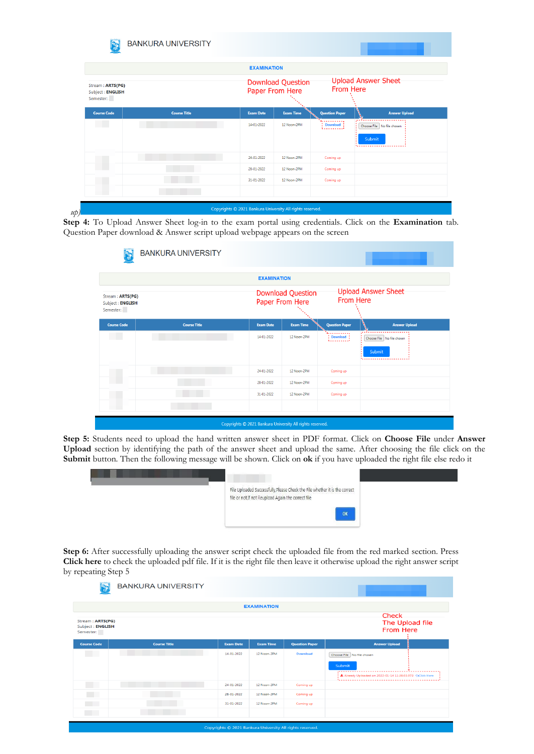|                                                   |                     | <b>EXAMINATION</b> |                                             |                                                |                                           |  |
|---------------------------------------------------|---------------------|--------------------|---------------------------------------------|------------------------------------------------|-------------------------------------------|--|
| Stream: ARTS(PG)<br>Subject: ENGLISH<br>Semester: |                     |                    | <b>Download Question</b><br>Paper From Here | <b>Upload Answer Sheet</b><br><b>From Here</b> |                                           |  |
| <b>Course Code</b>                                | <b>Course Title</b> | <b>Exam Date</b>   | <b>Exam Time</b>                            | <b>Question Paper</b>                          | <b>Answer Upload</b>                      |  |
| <b>COLLEGE</b>                                    |                     | 14-01-2022         | 12 Noon-2PM                                 | .<br>$\sum_{k=1}^{n}$                          | Choose File No file chosen<br>Submit<br>. |  |
|                                                   |                     | 24-01-2022         | 12 Noon-2PM                                 | Coming up                                      |                                           |  |
|                                                   |                     | 28-01-2022         | 12 Noon-2PM                                 | Coming up                                      |                                           |  |
|                                                   |                     | 31-01-2022         | 12 Noon-2PM                                 | Coming up                                      |                                           |  |
|                                                   |                     |                    |                                             |                                                |                                           |  |

**Step 4:** To Upload Answer Sheet log-in to the exam portal using credentials. Click on the **Examination** tab. Question Paper download & Answer script upload webpage appears on the screen

|                     |                           |                  | From Here                                                         | <b>Upload Answer Sheet</b>           |
|---------------------|---------------------------|------------------|-------------------------------------------------------------------|--------------------------------------|
| <b>Course Title</b> | <b>Exam Date</b>          | <b>Exam Time</b> | <b>Question Paper</b>                                             | <b>Answer Upload</b>                 |
|                     | 14-01-2022                | 12 Noon-2PM      | .<br>Download<br><u> 1.</u>                                       | Choose File No file chosen<br>Submit |
|                     | 24-01-2022                | 12 Noon-2PM      | Coming up                                                         |                                      |
|                     | 28-01-2022                | 12 Noon-2PM      | Coming up                                                         |                                      |
|                     | 31-01-2022                | 12 Noon-2PM      | Coming up                                                         |                                      |
|                     |                           |                  |                                                                   |                                      |
|                     | <b>BANKURA UNIVERSITY</b> |                  | <b>EXAMINATION</b><br><b>Download Question</b><br>Paper From Here |                                      |

**Step 5:** Students need to upload the hand written answer sheet in PDF format. Click on **Choose File** under **Answer Upload** section by identifying the path of the answer sheet and upload the same. After choosing the file click on the **Submit** button. Then the following message will be shown. Click on **ok** if you have uploaded the right file else redo it



Step 6: After successfully uploading the answer script check the uploaded file from the red marked section. Press **Click here** to check the uploaded pdf file. If it is the right file then leave it otherwise upload the right answer script by repeating Step 5

|                                                   | <b>BANKURA UNIVERSITY</b> |                                                           |                    |                       |                                                                                                                   |
|---------------------------------------------------|---------------------------|-----------------------------------------------------------|--------------------|-----------------------|-------------------------------------------------------------------------------------------------------------------|
|                                                   |                           |                                                           | <b>EXAMINATION</b> |                       |                                                                                                                   |
| Stream: ARTS(PG)<br>Subject: ENGLISH<br>Semester: |                           | Check<br>The Upload file<br>From Here                     |                    |                       |                                                                                                                   |
| <b>Course Code</b>                                | <b>Course Title</b>       | <b>Exam Date</b>                                          | <b>Exam Time</b>   | <b>Question Paper</b> | <b>Answer Upload</b>                                                                                              |
|                                                   |                           | 14-01-2022                                                | 12 Noon-2PM        | <b>Download</b>       | Choose File No file chosen<br><b>Submit</b><br>,<br>Already Uploaded on 2022-01-14 11:38:03.073 <a>Click Here</a> |
| <b>College</b>                                    |                           | 24-01-2022                                                | 12 Noon-2PM        | Coming up             |                                                                                                                   |
|                                                   |                           | 28-01-2022                                                | 12 Noon-2PM        | Coming up             |                                                                                                                   |
| <b>Contract</b>                                   |                           | 31-01-2022                                                | 12 Noon-2PM        | Coming up             |                                                                                                                   |
|                                                   |                           | Copyrights @ 2021 Bankura University All rights reserved. |                    |                       |                                                                                                                   |